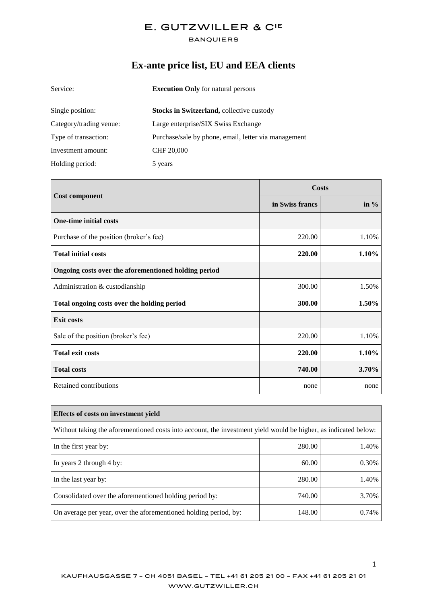#### **BANQUIERS**

# **Ex-ante price list, EU and EEA clients**

| Service:                | <b>Execution Only</b> for natural persons            |  |
|-------------------------|------------------------------------------------------|--|
| Single position:        | Stocks in Switzerland, collective custody            |  |
| Category/trading venue: | Large enterprise/SIX Swiss Exchange                  |  |
| Type of transaction:    | Purchase/sale by phone, email, letter via management |  |
| Investment amount:      | <b>CHF 20,000</b>                                    |  |
| Holding period:         | 5 years                                              |  |

|                                                      | <b>Costs</b>    |         |
|------------------------------------------------------|-----------------|---------|
| <b>Cost component</b>                                | in Swiss francs | in $\%$ |
| <b>One-time initial costs</b>                        |                 |         |
| Purchase of the position (broker's fee)              | 220.00          | 1.10%   |
| <b>Total initial costs</b>                           | 220.00          | 1.10%   |
| Ongoing costs over the aforementioned holding period |                 |         |
| Administration & custodianship                       | 300.00          | 1.50%   |
| Total ongoing costs over the holding period          | 300.00          | 1.50%   |
| <b>Exit costs</b>                                    |                 |         |
| Sale of the position (broker's fee)                  | 220.00          | 1.10%   |
| <b>Total exit costs</b>                              | 220.00          | 1.10%   |
| <b>Total costs</b>                                   | 740.00          | 3.70%   |
| Retained contributions                               | none            | none    |

| Effects of costs on investment vield                                                                            |        |       |  |
|-----------------------------------------------------------------------------------------------------------------|--------|-------|--|
| Without taking the aforementioned costs into account, the investment yield would be higher, as indicated below: |        |       |  |
| In the first year by:                                                                                           | 280.00 | 1.40% |  |
| In years 2 through 4 by:                                                                                        | 60.00  | 0.30% |  |
| In the last year by:                                                                                            | 280.00 | 1.40% |  |
| Consolidated over the aforementioned holding period by:                                                         | 740.00 | 3.70% |  |
| On average per year, over the aforementioned holding period, by:                                                | 148.00 | 0.74% |  |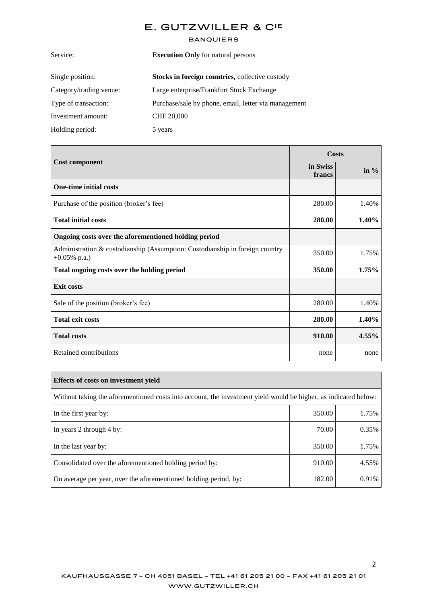#### **BANQUIERS**

| <b>Execution Only</b> for natural persons            |  |
|------------------------------------------------------|--|
|                                                      |  |
|                                                      |  |
| Purchase/sale by phone, email, letter via management |  |
|                                                      |  |
|                                                      |  |
|                                                      |  |

|                                                                                                 | Costs              |         |
|-------------------------------------------------------------------------------------------------|--------------------|---------|
| <b>Cost component</b>                                                                           | in Swiss<br>francs | in $\%$ |
| <b>One-time initial costs</b>                                                                   |                    |         |
| Purchase of the position (broker's fee)                                                         | 280.00             | 1.40%   |
| <b>Total initial costs</b>                                                                      | 280.00             | 1.40%   |
| Ongoing costs over the aforementioned holding period                                            |                    |         |
| Administration & custodianship (Assumption: Custodianship in foreign country<br>$+0.05\%$ p.a.) | 350.00             | 1.75%   |
| Total ongoing costs over the holding period                                                     | 350.00             | 1.75%   |
| <b>Exit costs</b>                                                                               |                    |         |
| Sale of the position (broker's fee)                                                             | 280.00             | 1.40%   |
| <b>Total exit costs</b>                                                                         | 280.00             | 1.40%   |
| <b>Total costs</b>                                                                              | 910.00             | 4.55%   |
| Retained contributions                                                                          | none               | none    |

| Effects of costs on investment yield                                                                            |        |       |
|-----------------------------------------------------------------------------------------------------------------|--------|-------|
| Without taking the aforementioned costs into account, the investment yield would be higher, as indicated below: |        |       |
| In the first year by:                                                                                           | 350.00 | 1.75% |
| In years 2 through 4 by:                                                                                        | 70.00  | 0.35% |
| In the last year by:                                                                                            | 350.00 | 1.75% |
| Consolidated over the aforementioned holding period by:                                                         | 910.00 | 4.55% |
| On average per year, over the aforementioned holding period, by:                                                | 182.00 | 0.91% |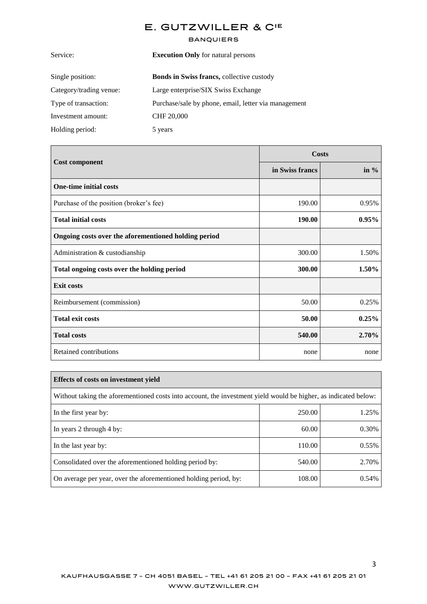### **BANQUIERS**

| <b>Execution Only</b> for natural persons            |  |
|------------------------------------------------------|--|
| Bonds in Swiss francs, collective custody            |  |
| Large enterprise/SIX Swiss Exchange                  |  |
| Purchase/sale by phone, email, letter via management |  |
| CHF 20,000                                           |  |
| 5 years                                              |  |
|                                                      |  |

|                                                      | <b>Costs</b>    |        |
|------------------------------------------------------|-----------------|--------|
| <b>Cost component</b>                                | in Swiss francs | in $%$ |
| <b>One-time initial costs</b>                        |                 |        |
| Purchase of the position (broker's fee)              | 190.00          | 0.95%  |
| <b>Total initial costs</b>                           | 190.00          | 0.95%  |
| Ongoing costs over the aforementioned holding period |                 |        |
| Administration & custodianship                       | 300.00          | 1.50%  |
| Total ongoing costs over the holding period          | 300.00          | 1.50%  |
| <b>Exit costs</b>                                    |                 |        |
| Reimbursement (commission)                           | 50.00           | 0.25%  |
| <b>Total exit costs</b>                              | 50.00           | 0.25%  |
| <b>Total costs</b>                                   | 540.00          | 2.70%  |
| Retained contributions                               | none            | none   |

| <b>Effects of costs on investment yield</b>                                                                     |        |       |  |
|-----------------------------------------------------------------------------------------------------------------|--------|-------|--|
| Without taking the aforementioned costs into account, the investment yield would be higher, as indicated below: |        |       |  |
| In the first year by:                                                                                           | 250.00 | 1.25% |  |
| In years 2 through 4 by:                                                                                        | 60.00  | 0.30% |  |
| In the last year by:                                                                                            | 110.00 | 0.55% |  |
| Consolidated over the aforementioned holding period by:                                                         | 540.00 | 2.70% |  |
| On average per year, over the aforementioned holding period, by:                                                | 108.00 | 0.54% |  |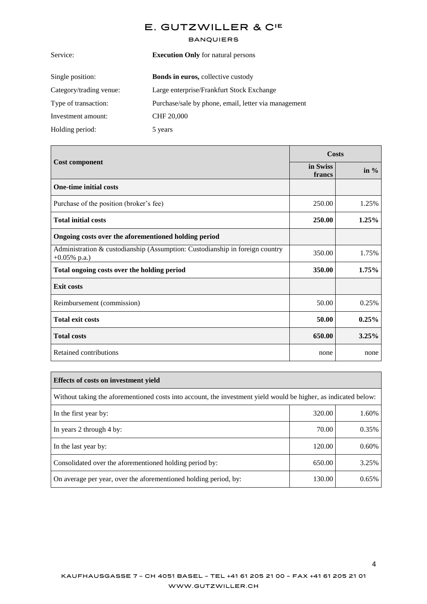#### **BANQUIERS**

| <b>Execution Only</b> for natural persons            |
|------------------------------------------------------|
| <b>Bonds in euros, collective custody</b>            |
| Large enterprise/Frankfurt Stock Exchange            |
| Purchase/sale by phone, email, letter via management |
| <b>CHF 20,000</b>                                    |
| 5 years                                              |
|                                                      |

|                                                                                                 | Costs              |        |
|-------------------------------------------------------------------------------------------------|--------------------|--------|
| <b>Cost component</b>                                                                           | in Swiss<br>francs | in $%$ |
| <b>One-time initial costs</b>                                                                   |                    |        |
| Purchase of the position (broker's fee)                                                         | 250.00             | 1.25%  |
| <b>Total initial costs</b>                                                                      | 250.00             | 1.25%  |
| Ongoing costs over the aforementioned holding period                                            |                    |        |
| Administration & custodianship (Assumption: Custodianship in foreign country<br>$+0.05\%$ p.a.) | 350.00             | 1.75%  |
| Total ongoing costs over the holding period                                                     | 350.00             | 1.75%  |
| <b>Exit costs</b>                                                                               |                    |        |
| Reimbursement (commission)                                                                      | 50.00              | 0.25%  |
| <b>Total exit costs</b>                                                                         | 50.00              | 0.25%  |
| <b>Total costs</b>                                                                              | 650.00             | 3.25%  |
| Retained contributions                                                                          | none               | none   |

| <b>Effects of costs on investment vield</b>                                                                     |        |       |  |
|-----------------------------------------------------------------------------------------------------------------|--------|-------|--|
| Without taking the aforementioned costs into account, the investment yield would be higher, as indicated below: |        |       |  |
| In the first year by:                                                                                           | 320.00 | 1.60% |  |
| In years 2 through 4 by:                                                                                        | 70.00  | 0.35% |  |
| In the last year by:                                                                                            | 120.00 | 0.60% |  |
| Consolidated over the aforementioned holding period by:                                                         | 650.00 | 3.25% |  |
| On average per year, over the aforementioned holding period, by:                                                | 130.00 | 0.65% |  |